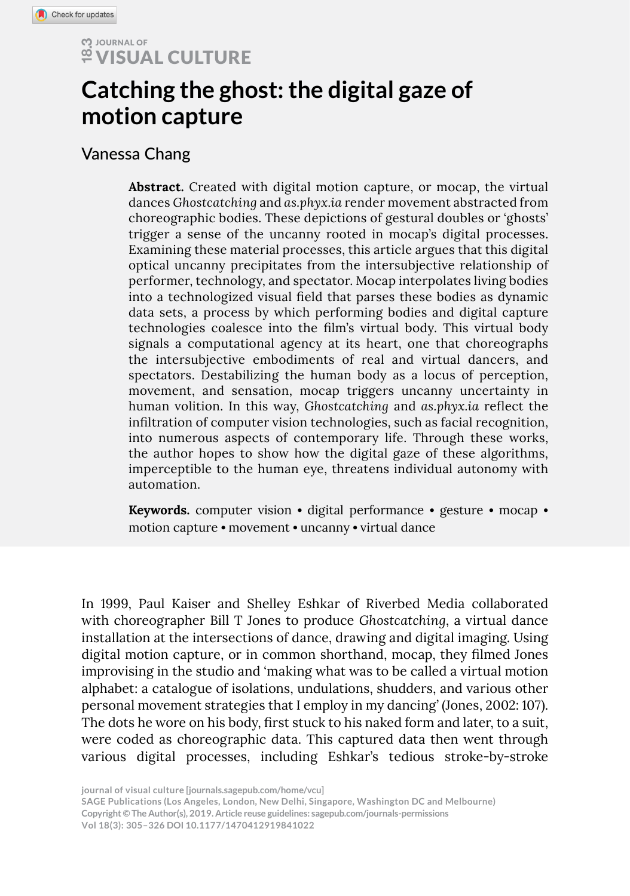# *COLTURE*

# **Catching the ghost: the digital gaze of motion capture**

## Vanessa Chang

**Columbat Columbat Columbat Columbat Columbat Columbat Conce Schotscatching and as phonons conceographic bodies. These deringer a sense of the uncannel Examining these material process to performer, technologies coalesce i Abstract.** Created with digital motion capture, or mocap, the virtual dances *Ghostcatching* and *as.phyx.ia* render movement abstracted from choreographic bodies. These depictions of gestural doubles or 'ghosts' trigger a sense of the uncanny rooted in mocap's digital processes. Examining these material processes, this article argues that this digital optical uncanny precipitates from the intersubjective relationship of performer, technology, and spectator. Mocap interpolates living bodies into a technologized visual field that parses these bodies as dynamic data sets, a process by which performing bodies and digital capture technologies coalesce into the film's virtual body. This virtual body signals a computational agency at its heart, one that choreographs the intersubjective embodiments of real and virtual dancers, and spectators. Destabilizing the human body as a locus of perception, movement, and sensation, mocap triggers uncanny uncertainty in human volition. In this way, *Ghostcatching* and *as.phyx.ia* reflect the infiltration of computer vision technologies, such as facial recognition, into numerous aspects of contemporary life. Through these works, the author hopes to show how the digital gaze of these algorithms, imperceptible to the human eye, threatens individual autonomy with automation.

**Keywords.** computer vision • digital performance • gesture • mocap • motion capture • movement • uncanny • virtual dance

In 1999, Paul Kaiser and Shelley Eshkar of Riverbed Media collaborated with choreographer Bill T Jones to produce *Ghostcatching*, a virtual dance installation at the intersections of dance, drawing and digital imaging. Using digital motion capture, or in common shorthand, mocap, they filmed Jones improvising in the studio and 'making what was to be called a virtual motion alphabet: a catalogue of isolations, undulations, shudders, and various other personal movement strategies that I employ in my dancing' (Jones, 2002: 107). The dots he wore on his body, first stuck to his naked form and later, to a suit, were coded as choreographic data. This captured data then went through various digital processes, including Eshkar's tedious stroke-by-stroke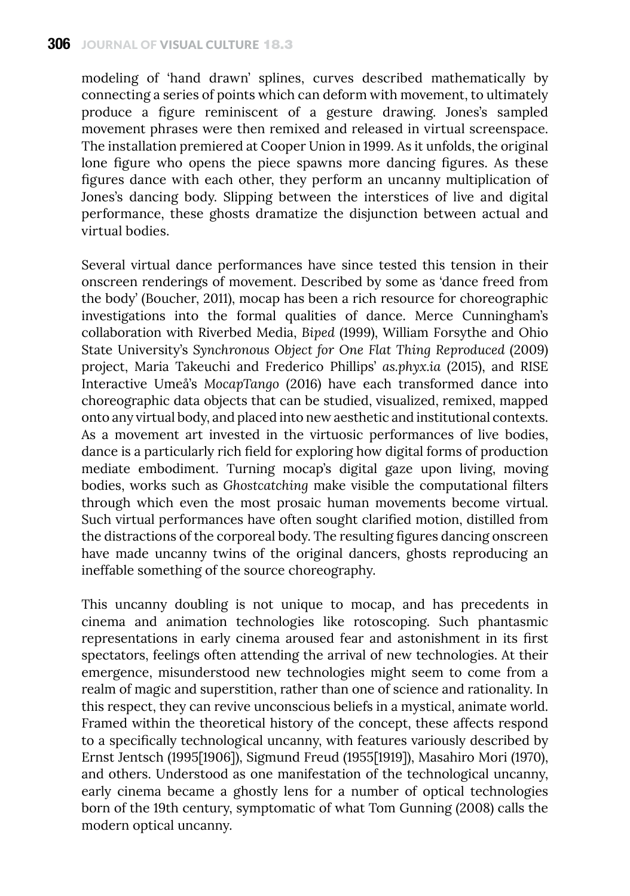#### **306** journal of visual culture 18.3

modeling of 'hand drawn' splines, curves described mathematically by connecting a series of points which can deform with movement, to ultimately produce a figure reminiscent of a gesture drawing. Jones's sampled movement phrases were then remixed and released in virtual screenspace. The installation premiered at Cooper Union in 1999. As it unfolds, the original lone figure who opens the piece spawns more dancing figures. As these figures dance with each other, they perform an uncanny multiplication of Jones's dancing body. Slipping between the interstices of live and digital performance, these ghosts dramatize the disjunction between actual and virtual bodies.

Several virtual dance performances have since tested this tension in their onscreen renderings of movement. Described by some as 'dance freed from the body' (Boucher, 2011), mocap has been a rich resource for choreographic investigations into the formal qualities of dance. Merce Cunningham's collaboration with Riverbed Media, *Biped* (1999), William Forsythe and Ohio State University's *Synchronous Object for One Flat Thing Reproduced* (2009) project, Maria Takeuchi and Frederico Phillips' *as.phyx.ia* (2015), and RISE Interactive Umeå's *MocapTango* (2016) have each transformed dance into choreographic data objects that can be studied, visualized, remixed, mapped onto any virtual body, and placed into new aesthetic and institutional contexts. As a movement art invested in the virtuosic performances of live bodies, dance is a particularly rich field for exploring how digital forms of production mediate embodiment. Turning mocap's digital gaze upon living, moving bodies, works such as *Ghostcatching* make visible the computational filters through which even the most prosaic human movements become virtual. Such virtual performances have often sought clarified motion, distilled from the distractions of the corporeal body. The resulting figures dancing onscreen have made uncanny twins of the original dancers, ghosts reproducing an ineffable something of the source choreography.

This uncanny doubling is not unique to mocap, and has precedents in cinema and animation technologies like rotoscoping. Such phantasmic representations in early cinema aroused fear and astonishment in its first spectators, feelings often attending the arrival of new technologies. At their emergence, misunderstood new technologies might seem to come from a realm of magic and superstition, rather than one of science and rationality. In this respect, they can revive unconscious beliefs in a mystical, animate world. Framed within the theoretical history of the concept, these affects respond to a specifically technological uncanny, with features variously described by Ernst Jentsch (1995[1906]), Sigmund Freud (1955[1919]), Masahiro Mori (1970), and others. Understood as one manifestation of the technological uncanny, early cinema became a ghostly lens for a number of optical technologies born of the 19th century, symptomatic of what Tom Gunning (2008) calls the modern optical uncanny.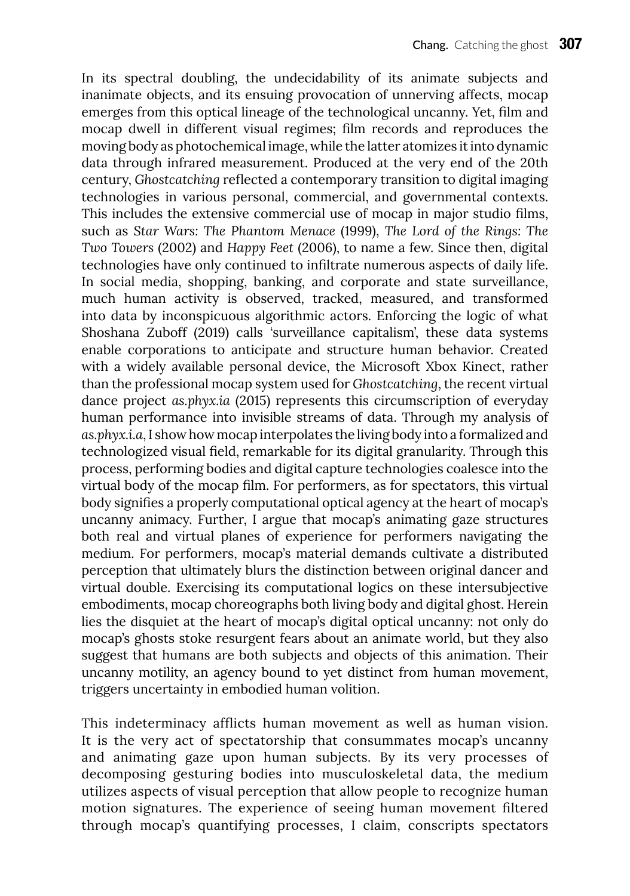In its spectral doubling, the undecidability of its animate subjects and inanimate objects, and its ensuing provocation of unnerving affects, mocap emerges from this optical lineage of the technological uncanny. Yet, film and mocap dwell in different visual regimes; film records and reproduces the moving body as photochemical image, while the latter atomizes it into dynamic data through infrared measurement. Produced at the very end of the 20th century, *Ghostcatching* reflected a contemporary transition to digital imaging technologies in various personal, commercial, and governmental contexts. This includes the extensive commercial use of mocap in major studio films, such as *Star Wars: The Phantom Menace* (1999), *The Lord of the Rings: The Two Towers* (2002) and *Happy Feet* (2006), to name a few. Since then, digital technologies have only continued to infiltrate numerous aspects of daily life. In social media, shopping, banking, and corporate and state surveillance, much human activity is observed, tracked, measured, and transformed into data by inconspicuous algorithmic actors. Enforcing the logic of what Shoshana Zuboff (2019) calls 'surveillance capitalism', these data systems enable corporations to anticipate and structure human behavior. Created with a widely available personal device, the Microsoft Xbox Kinect, rather than the professional mocap system used for *Ghostcatching*, the recent virtual dance project *as.phyx.ia* (2015) represents this circumscription of everyday human performance into invisible streams of data. Through my analysis of *as.phyx.i.a*, I show how mocap interpolates the living body into a formalized and technologized visual field, remarkable for its digital granularity. Through this process, performing bodies and digital capture technologies coalesce into the virtual body of the mocap film. For performers, as for spectators, this virtual body signifies a properly computational optical agency at the heart of mocap's uncanny animacy. Further, I argue that mocap's animating gaze structures both real and virtual planes of experience for performers navigating the medium. For performers, mocap's material demands cultivate a distributed perception that ultimately blurs the distinction between original dancer and virtual double. Exercising its computational logics on these intersubjective embodiments, mocap choreographs both living body and digital ghost. Herein lies the disquiet at the heart of mocap's digital optical uncanny: not only do mocap's ghosts stoke resurgent fears about an animate world, but they also suggest that humans are both subjects and objects of this animation. Their uncanny motility, an agency bound to yet distinct from human movement, triggers uncertainty in embodied human volition.

This indeterminacy afflicts human movement as well as human vision. It is the very act of spectatorship that consummates mocap's uncanny and animating gaze upon human subjects. By its very processes of decomposing gesturing bodies into musculoskeletal data, the medium utilizes aspects of visual perception that allow people to recognize human motion signatures. The experience of seeing human movement filtered through mocap's quantifying processes, I claim, conscripts spectators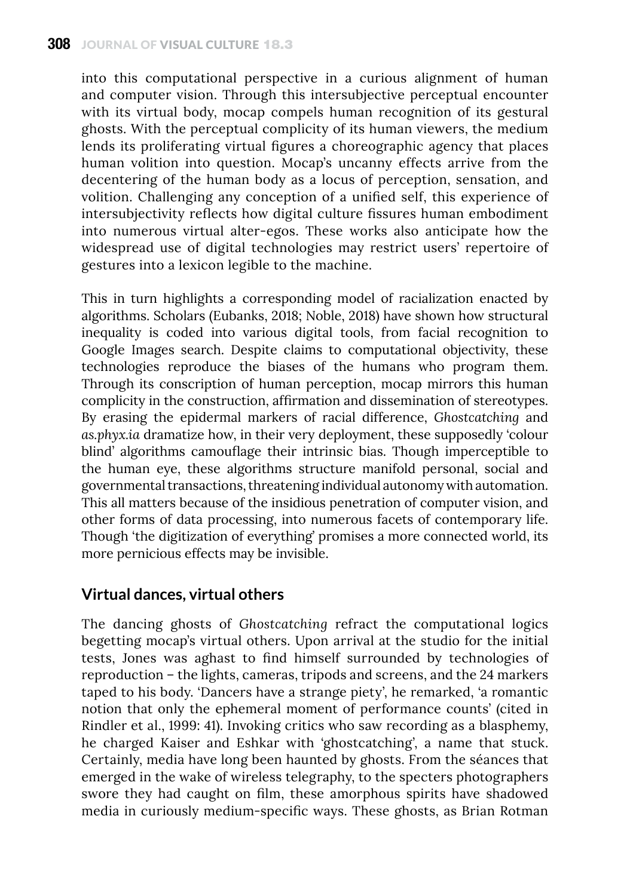into this computational perspective in a curious alignment of human and computer vision. Through this intersubjective perceptual encounter with its virtual body, mocap compels human recognition of its gestural ghosts. With the perceptual complicity of its human viewers, the medium lends its proliferating virtual figures a choreographic agency that places human volition into question. Mocap's uncanny effects arrive from the decentering of the human body as a locus of perception, sensation, and volition. Challenging any conception of a unified self, this experience of intersubjectivity reflects how digital culture fissures human embodiment into numerous virtual alter-egos. These works also anticipate how the widespread use of digital technologies may restrict users' repertoire of gestures into a lexicon legible to the machine.

This in turn highlights a corresponding model of racialization enacted by algorithms. Scholars (Eubanks, 2018; Noble, 2018) have shown how structural inequality is coded into various digital tools, from facial recognition to Google Images search. Despite claims to computational objectivity, these technologies reproduce the biases of the humans who program them. Through its conscription of human perception, mocap mirrors this human complicity in the construction, affirmation and dissemination of stereotypes. By erasing the epidermal markers of racial difference, *Ghostcatching* and *as.phyx.ia* dramatize how, in their very deployment, these supposedly 'colour blind' algorithms camouflage their intrinsic bias. Though imperceptible to the human eye, these algorithms structure manifold personal, social and governmental transactions, threatening individual autonomy with automation. This all matters because of the insidious penetration of computer vision, and other forms of data processing, into numerous facets of contemporary life. Though 'the digitization of everything' promises a more connected world, its more pernicious effects may be invisible.

# **Virtual dances, virtual others**

The dancing ghosts of *Ghostcatching* refract the computational logics begetting mocap's virtual others. Upon arrival at the studio for the initial tests, Jones was aghast to find himself surrounded by technologies of reproduction – the lights, cameras, tripods and screens, and the 24 markers taped to his body. 'Dancers have a strange piety', he remarked, 'a romantic notion that only the ephemeral moment of performance counts' (cited in Rindler et al., 1999: 41). Invoking critics who saw recording as a blasphemy, he charged Kaiser and Eshkar with 'ghostcatching', a name that stuck. Certainly, media have long been haunted by ghosts. From the séances that emerged in the wake of wireless telegraphy, to the specters photographers swore they had caught on film, these amorphous spirits have shadowed media in curiously medium-specific ways. These ghosts, as Brian Rotman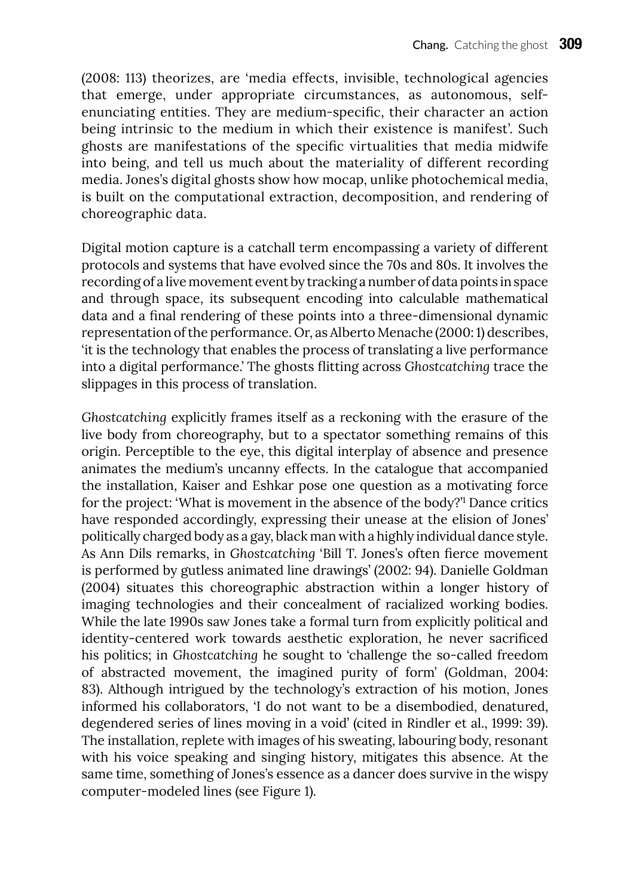(2008: 113) theorizes, are 'media effects, invisible, technological agencies that emerge, under appropriate circumstances, as autonomous, selfenunciating entities. They are medium-specific, their character an action being intrinsic to the medium in which their existence is manifest'. Such ghosts are manifestations of the specific virtualities that media midwife into being, and tell us much about the materiality of different recording media. Jones's digital ghosts show how mocap, unlike photochemical media, is built on the computational extraction, decomposition, and rendering of choreographic data.

Digital motion capture is a catchall term encompassing a variety of different protocols and systems that have evolved since the 70s and 80s. It involves the recording of a live movement event by tracking a number of data points in space and through space, its subsequent encoding into calculable mathematical data and a final rendering of these points into a three-dimensional dynamic representation of the performance. Or, as Alberto Menache (2000: 1) describes, 'it is the technology that enables the process of translating a live performance into a digital performance.' The ghosts flitting across *Ghostcatching* trace the slippages in this process of translation.

*Ghostcatching* explicitly frames itself as a reckoning with the erasure of the live body from choreography, but to a spectator something remains of this origin. Perceptible to the eye, this digital interplay of absence and presence animates the medium's uncanny effects. In the catalogue that accompanied the installation, Kaiser and Eshkar pose one question as a motivating force for the project: 'What is movement in the absence of the body?'1 Dance critics have responded accordingly, expressing their unease at the elision of Jones' politically charged body as a gay, black man with a highly individual dance style. As Ann Dils remarks, in *Ghostcatching* 'Bill T. Jones's often fierce movement is performed by gutless animated line drawings' (2002: 94). Danielle Goldman (2004) situates this choreographic abstraction within a longer history of imaging technologies and their concealment of racialized working bodies. While the late 1990s saw Jones take a formal turn from explicitly political and identity-centered work towards aesthetic exploration, he never sacrificed his politics; in *Ghostcatching* he sought to 'challenge the so-called freedom of abstracted movement, the imagined purity of form' (Goldman, 2004: 83). Although intrigued by the technology's extraction of his motion, Jones informed his collaborators, 'I do not want to be a disembodied, denatured, degendered series of lines moving in a void' (cited in Rindler et al., 1999: 39). The installation, replete with images of his sweating, labouring body, resonant with his voice speaking and singing history, mitigates this absence. At the same time, something of Jones's essence as a dancer does survive in the wispy computer-modeled lines (see Figure 1).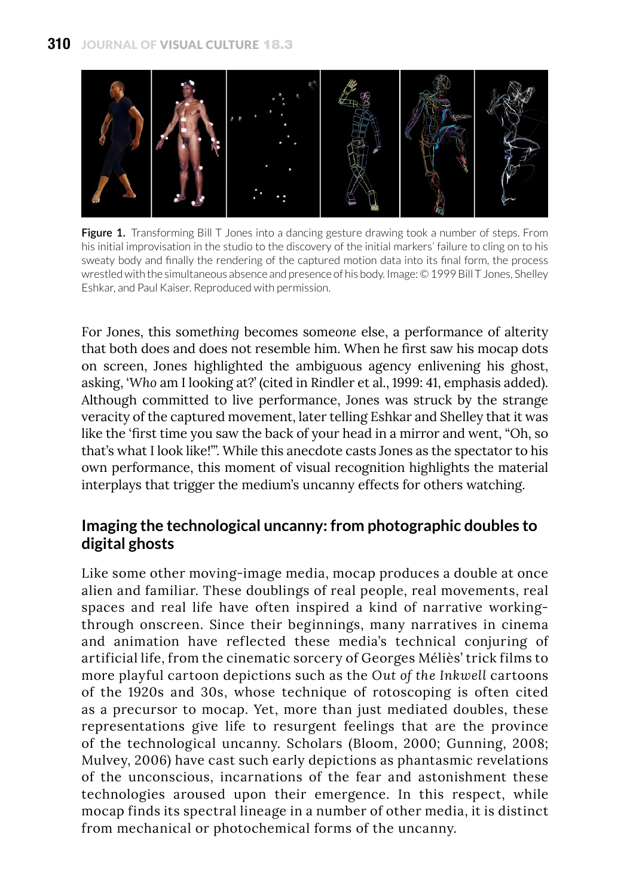

**Figure 1.** Transforming Bill T Jones into a dancing gesture drawing took a number of steps. From his initial improvisation in the studio to the discovery of the initial markers' failure to cling on to his sweaty body and finally the rendering of the captured motion data into its final form, the process wrestled with the simultaneous absence and presence of his body. Image: © 1999 Bill T Jones, Shelley Eshkar, and Paul Kaiser. Reproduced with permission.

For Jones, this some*thing* becomes some*one* else, a performance of alterity that both does and does not resemble him. When he first saw his mocap dots on screen, Jones highlighted the ambiguous agency enlivening his ghost, asking, '*Who* am I looking at?' (cited in Rindler et al., 1999: 41, emphasis added). Although committed to live performance, Jones was struck by the strange veracity of the captured movement, later telling Eshkar and Shelley that it was like the 'first time you saw the back of your head in a mirror and went, "Oh, so that's what I look like!"'. While this anecdote casts Jones as the spectator to his own performance, this moment of visual recognition highlights the material interplays that trigger the medium's uncanny effects for others watching.

### **Imaging the technological uncanny: from photographic doubles to digital ghosts**

Like some other moving-image media, mocap produces a double at once alien and familiar. These doublings of real people, real movements, real spaces and real life have often inspired a kind of narrative workingthrough onscreen. Since their beginnings, many narratives in cinema and animation have reflected these media's technical conjuring of artificial life, from the cinematic sorcery of Georges Méliès' trick films to more playful cartoon depictions such as the *Out of the Inkwell* cartoons of the 1920s and 30s, whose technique of rotoscoping is often cited as a precursor to mocap. Yet, more than just mediated doubles, these representations give life to resurgent feelings that are the province of the technological uncanny. Scholars (Bloom, 2000; Gunning, 2008; Mulvey, 2006) have cast such early depictions as phantasmic revelations of the unconscious, incarnations of the fear and astonishment these technologies aroused upon their emergence. In this respect, while mocap finds its spectral lineage in a number of other media, it is distinct from mechanical or photochemical forms of the uncanny.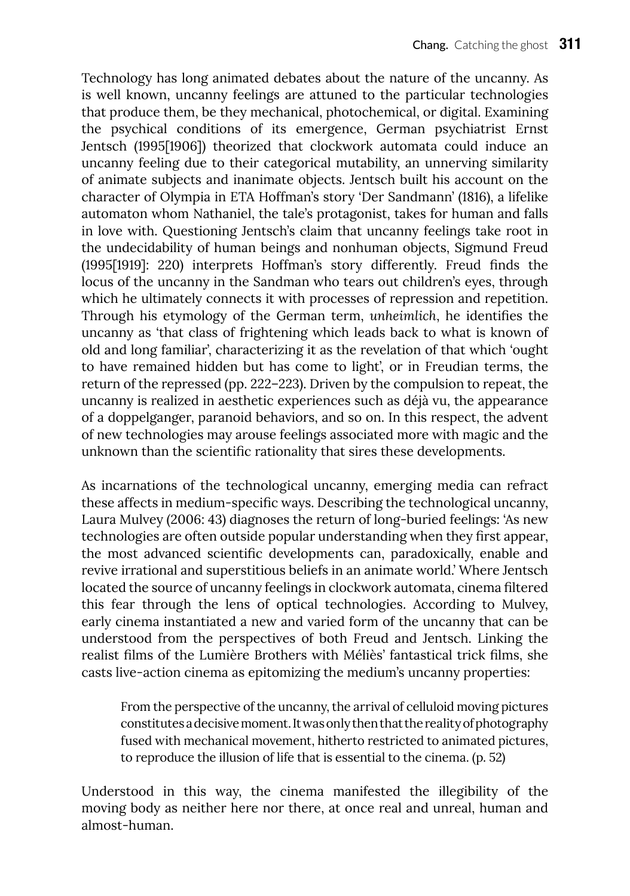Technology has long animated debates about the nature of the uncanny. As is well known, uncanny feelings are attuned to the particular technologies that produce them, be they mechanical, photochemical, or digital. Examining the psychical conditions of its emergence, German psychiatrist Ernst Jentsch (1995[1906]) theorized that clockwork automata could induce an uncanny feeling due to their categorical mutability, an unnerving similarity of animate subjects and inanimate objects. Jentsch built his account on the character of Olympia in ETA Hoffman's story 'Der Sandmann' (1816), a lifelike automaton whom Nathaniel, the tale's protagonist, takes for human and falls in love with. Questioning Jentsch's claim that uncanny feelings take root in the undecidability of human beings and nonhuman objects, Sigmund Freud (1995[1919]: 220) interprets Hoffman's story differently. Freud finds the locus of the uncanny in the Sandman who tears out children's eyes, through which he ultimately connects it with processes of repression and repetition. Through his etymology of the German term, *unheimlich*, he identifies the uncanny as 'that class of frightening which leads back to what is known of old and long familiar', characterizing it as the revelation of that which 'ought to have remained hidden but has come to light', or in Freudian terms, the return of the repressed (pp. 222–223). Driven by the compulsion to repeat, the uncanny is realized in aesthetic experiences such as déjà vu, the appearance of a doppelganger, paranoid behaviors, and so on. In this respect, the advent of new technologies may arouse feelings associated more with magic and the unknown than the scientific rationality that sires these developments.

As incarnations of the technological uncanny, emerging media can refract these affects in medium-specific ways. Describing the technological uncanny, Laura Mulvey (2006: 43) diagnoses the return of long-buried feelings: 'As new technologies are often outside popular understanding when they first appear, the most advanced scientific developments can, paradoxically, enable and revive irrational and superstitious beliefs in an animate world.' Where Jentsch located the source of uncanny feelings in clockwork automata, cinema filtered this fear through the lens of optical technologies. According to Mulvey, early cinema instantiated a new and varied form of the uncanny that can be understood from the perspectives of both Freud and Jentsch. Linking the realist films of the Lumière Brothers with Méliès' fantastical trick films, she casts live-action cinema as epitomizing the medium's uncanny properties:

From the perspective of the uncanny, the arrival of celluloid moving pictures constitutes a decisive moment. It was only then that the reality of photography fused with mechanical movement, hitherto restricted to animated pictures, to reproduce the illusion of life that is essential to the cinema. (p. 52)

Understood in this way, the cinema manifested the illegibility of the moving body as neither here nor there, at once real and unreal, human and almost-human.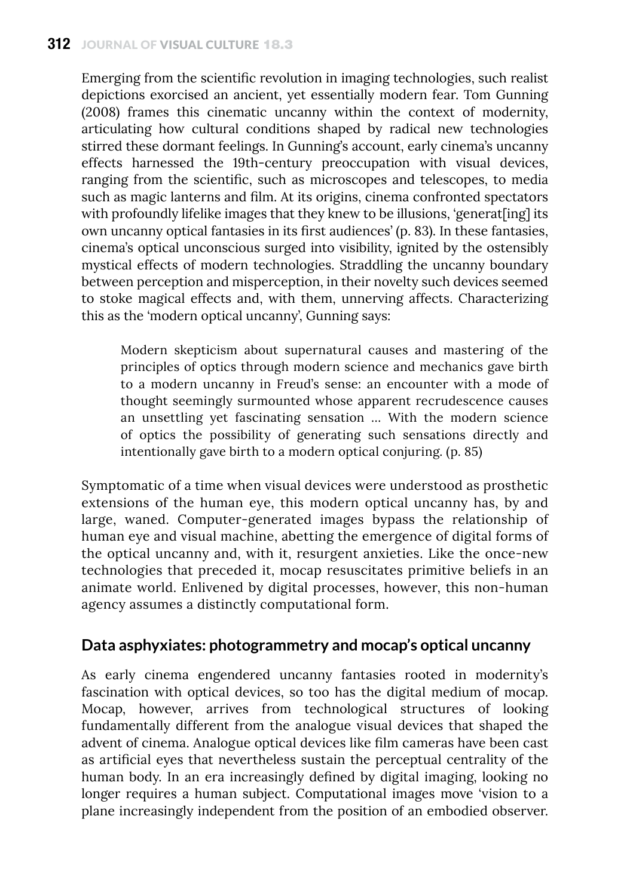#### **312** journal of visual culture 18.3

Emerging from the scientific revolution in imaging technologies, such realist depictions exorcised an ancient, yet essentially modern fear. Tom Gunning (2008) frames this cinematic uncanny within the context of modernity, articulating how cultural conditions shaped by radical new technologies stirred these dormant feelings. In Gunning's account, early cinema's uncanny effects harnessed the 19th-century preoccupation with visual devices, ranging from the scientific, such as microscopes and telescopes, to media such as magic lanterns and film. At its origins, cinema confronted spectators with profoundly lifelike images that they knew to be illusions, 'generat[ing] its own uncanny optical fantasies in its first audiences' (p. 83). In these fantasies, cinema's optical unconscious surged into visibility, ignited by the ostensibly mystical effects of modern technologies. Straddling the uncanny boundary between perception and misperception, in their novelty such devices seemed to stoke magical effects and, with them, unnerving affects. Characterizing this as the 'modern optical uncanny', Gunning says:

Modern skepticism about supernatural causes and mastering of the principles of optics through modern science and mechanics gave birth to a modern uncanny in Freud's sense: an encounter with a mode of thought seemingly surmounted whose apparent recrudescence causes an unsettling yet fascinating sensation … With the modern science of optics the possibility of generating such sensations directly and intentionally gave birth to a modern optical conjuring. (p. 85)

Symptomatic of a time when visual devices were understood as prosthetic extensions of the human eye, this modern optical uncanny has, by and large, waned. Computer-generated images bypass the relationship of human eye and visual machine, abetting the emergence of digital forms of the optical uncanny and, with it, resurgent anxieties. Like the once-new technologies that preceded it, mocap resuscitates primitive beliefs in an animate world. Enlivened by digital processes, however, this non-human agency assumes a distinctly computational form.

#### **Data asphyxiates: photogrammetry and mocap's optical uncanny**

As early cinema engendered uncanny fantasies rooted in modernity's fascination with optical devices, so too has the digital medium of mocap. Mocap, however, arrives from technological structures of looking fundamentally different from the analogue visual devices that shaped the advent of cinema. Analogue optical devices like film cameras have been cast as artificial eyes that nevertheless sustain the perceptual centrality of the human body. In an era increasingly defined by digital imaging, looking no longer requires a human subject. Computational images move 'vision to a plane increasingly independent from the position of an embodied observer.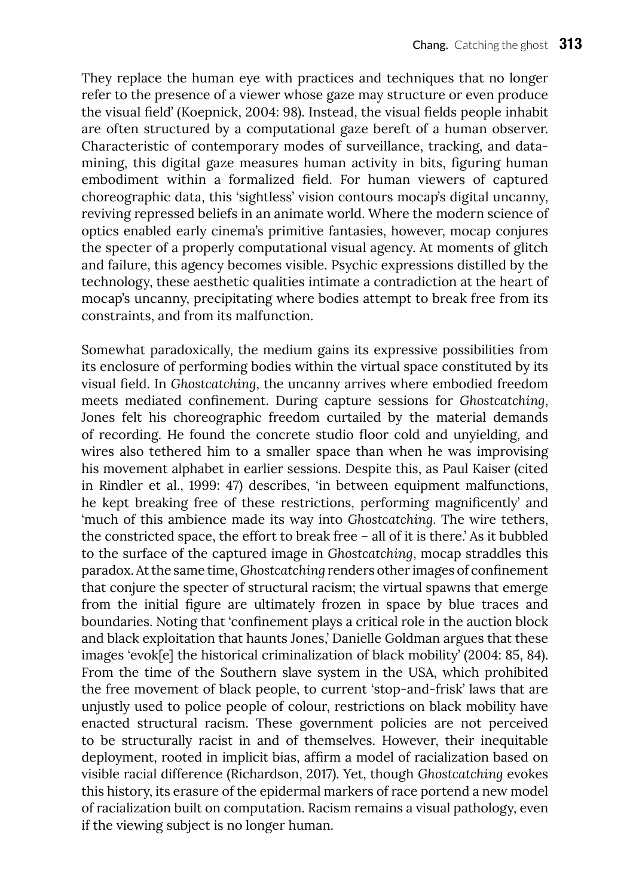They replace the human eye with practices and techniques that no longer refer to the presence of a viewer whose gaze may structure or even produce the visual field' (Koepnick, 2004: 98). Instead, the visual fields people inhabit are often structured by a computational gaze bereft of a human observer. Characteristic of contemporary modes of surveillance, tracking, and datamining, this digital gaze measures human activity in bits, figuring human embodiment within a formalized field. For human viewers of captured choreographic data, this 'sightless' vision contours mocap's digital uncanny, reviving repressed beliefs in an animate world. Where the modern science of optics enabled early cinema's primitive fantasies, however, mocap conjures the specter of a properly computational visual agency. At moments of glitch and failure, this agency becomes visible. Psychic expressions distilled by the technology, these aesthetic qualities intimate a contradiction at the heart of mocap's uncanny, precipitating where bodies attempt to break free from its constraints, and from its malfunction.

Somewhat paradoxically, the medium gains its expressive possibilities from its enclosure of performing bodies within the virtual space constituted by its visual field. In *Ghostcatching*, the uncanny arrives where embodied freedom meets mediated confinement. During capture sessions for *Ghostcatching*, Jones felt his choreographic freedom curtailed by the material demands of recording. He found the concrete studio floor cold and unyielding, and wires also tethered him to a smaller space than when he was improvising his movement alphabet in earlier sessions. Despite this, as Paul Kaiser (cited in Rindler et al., 1999: 47) describes, 'in between equipment malfunctions, he kept breaking free of these restrictions, performing magnificently' and 'much of this ambience made its way into *Ghostcatching*. The wire tethers, the constricted space, the effort to break free – all of it is there.' As it bubbled to the surface of the captured image in *Ghostcatching*, mocap straddles this paradox. At the same time, *Ghostcatching* renders other images of confinement that conjure the specter of structural racism; the virtual spawns that emerge from the initial figure are ultimately frozen in space by blue traces and boundaries. Noting that 'confinement plays a critical role in the auction block and black exploitation that haunts Jones,' Danielle Goldman argues that these images 'evok[e] the historical criminalization of black mobility' (2004: 85, 84). From the time of the Southern slave system in the USA, which prohibited the free movement of black people, to current 'stop-and-frisk' laws that are unjustly used to police people of colour, restrictions on black mobility have enacted structural racism. These government policies are not perceived to be structurally racist in and of themselves. However, their inequitable deployment, rooted in implicit bias, affirm a model of racialization based on visible racial difference (Richardson, 2017). Yet, though *Ghostcatching* evokes this history, its erasure of the epidermal markers of race portend a new model of racialization built on computation. Racism remains a visual pathology, even if the viewing subject is no longer human.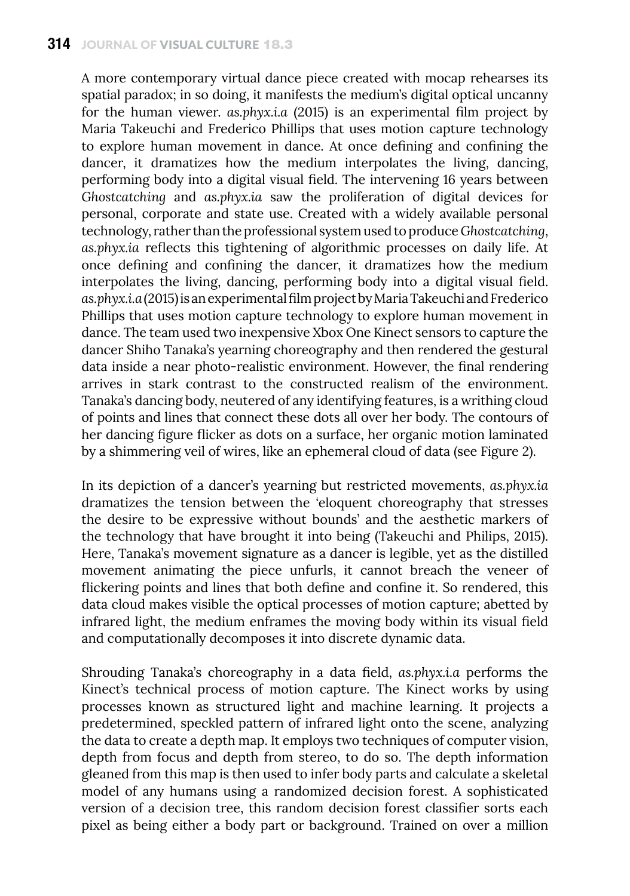A more contemporary virtual dance piece created with mocap rehearses its spatial paradox; in so doing, it manifests the medium's digital optical uncanny for the human viewer. *as.phyx.i.a* (2015) is an experimental film project by Maria Takeuchi and Frederico Phillips that uses motion capture technology to explore human movement in dance. At once defining and confining the dancer, it dramatizes how the medium interpolates the living, dancing, performing body into a digital visual field. The intervening 16 years between *Ghostcatching* and *as.phyx.ia* saw the proliferation of digital devices for personal, corporate and state use. Created with a widely available personal technology, rather than the professional system used to produce *Ghostcatching*, *as.phyx.ia* reflects this tightening of algorithmic processes on daily life. At once defining and confining the dancer, it dramatizes how the medium interpolates the living, dancing, performing body into a digital visual field. *as.phyx.i.a* (2015) is an experimental film project by Maria Takeuchi and Frederico Phillips that uses motion capture technology to explore human movement in dance. The team used two inexpensive Xbox One Kinect sensors to capture the dancer Shiho Tanaka's yearning choreography and then rendered the gestural data inside a near photo-realistic environment. However, the final rendering arrives in stark contrast to the constructed realism of the environment. Tanaka's dancing body, neutered of any identifying features, is a writhing cloud of points and lines that connect these dots all over her body. The contours of her dancing figure flicker as dots on a surface, her organic motion laminated by a shimmering veil of wires, like an ephemeral cloud of data (see Figure 2).

In its depiction of a dancer's yearning but restricted movements, *as.phyx.ia* dramatizes the tension between the 'eloquent choreography that stresses the desire to be expressive without bounds' and the aesthetic markers of the technology that have brought it into being (Takeuchi and Philips, 2015). Here, Tanaka's movement signature as a dancer is legible, yet as the distilled movement animating the piece unfurls, it cannot breach the veneer of flickering points and lines that both define and confine it. So rendered, this data cloud makes visible the optical processes of motion capture; abetted by infrared light, the medium enframes the moving body within its visual field and computationally decomposes it into discrete dynamic data.

Shrouding Tanaka's choreography in a data field, *as.phyx.i.a* performs the Kinect's technical process of motion capture. The Kinect works by using processes known as structured light and machine learning. It projects a predetermined, speckled pattern of infrared light onto the scene, analyzing the data to create a depth map. It employs two techniques of computer vision, depth from focus and depth from stereo, to do so. The depth information gleaned from this map is then used to infer body parts and calculate a skeletal model of any humans using a randomized decision forest. A sophisticated version of a decision tree, this random decision forest classifier sorts each pixel as being either a body part or background. Trained on over a million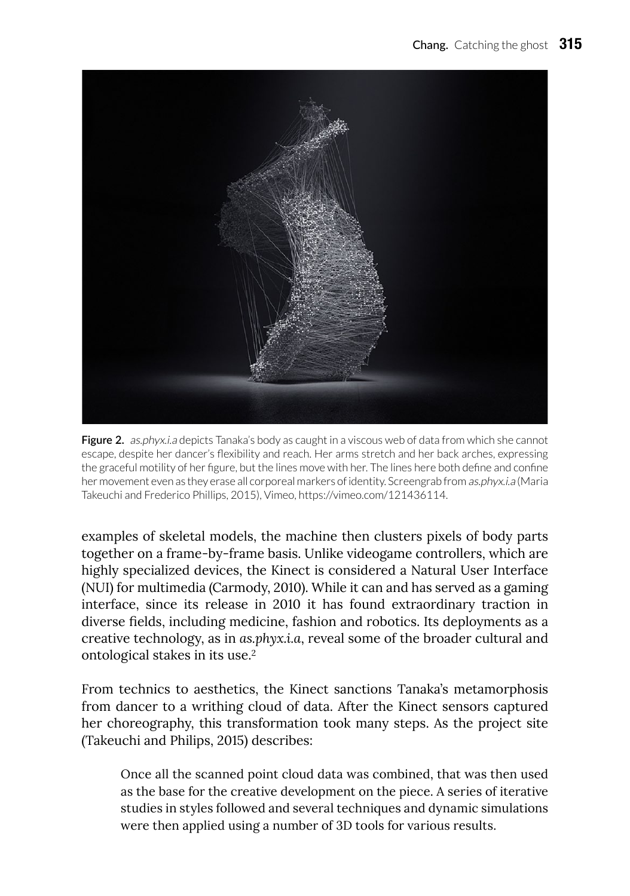

**Figure 2.** as.phyx.i.a depicts Tanaka's body as caught in a viscous web of data from which she cannot escape, despite her dancer's flexibility and reach. Her arms stretch and her back arches, expressing the graceful motility of her figure, but the lines move with her. The lines here both define and confine her movement even as they erase all corporeal markers of identity. Screengrab from as.phyx.i.a (Maria Takeuchi and Frederico Phillips, 2015), Vimeo, <https://vimeo.com/121436114>.

examples of skeletal models, the machine then clusters pixels of body parts together on a frame-by-frame basis. Unlike videogame controllers, which are highly specialized devices, the Kinect is considered a Natural User Interface (NUI) for multimedia (Carmody, 2010). While it can and has served as a gaming interface, since its release in 2010 it has found extraordinary traction in diverse fields, including medicine, fashion and robotics. Its deployments as a creative technology, as in *as.phyx.i.a*, reveal some of the broader cultural and ontological stakes in its use.2

From technics to aesthetics, the Kinect sanctions Tanaka's metamorphosis from dancer to a writhing cloud of data. After the Kinect sensors captured her choreography, this transformation took many steps. As the project site (Takeuchi and Philips, 2015) describes:

Once all the scanned point cloud data was combined, that was then used as the base for the creative development on the piece. A series of iterative studies in styles followed and several techniques and dynamic simulations were then applied using a number of 3D tools for various results.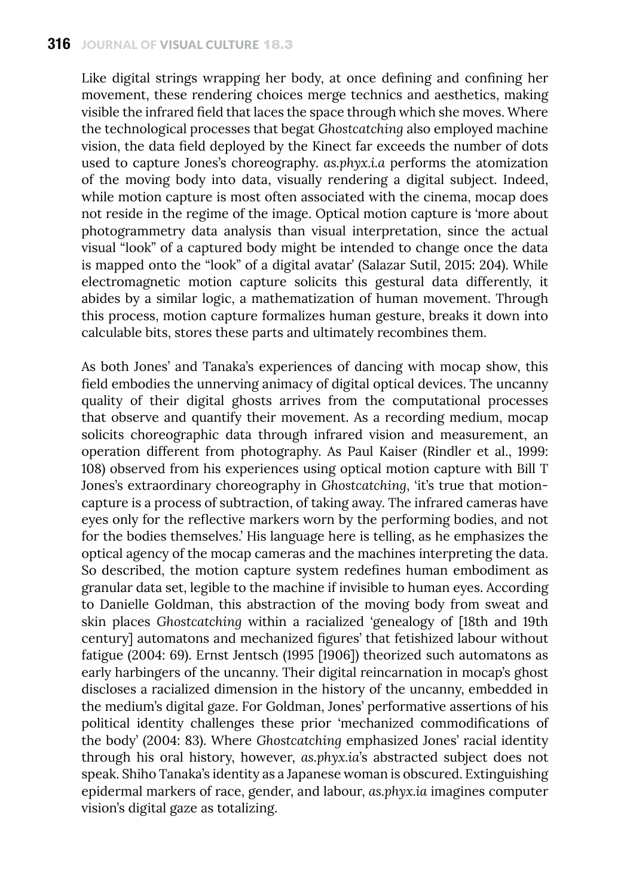Like digital strings wrapping her body, at once defining and confining her movement, these rendering choices merge technics and aesthetics, making visible the infrared field that laces the space through which she moves. Where the technological processes that begat *Ghostcatching* also employed machine vision, the data field deployed by the Kinect far exceeds the number of dots used to capture Jones's choreography. *as.phyx.i.a* performs the atomization of the moving body into data, visually rendering a digital subject. Indeed, while motion capture is most often associated with the cinema, mocap does not reside in the regime of the image. Optical motion capture is 'more about photogrammetry data analysis than visual interpretation, since the actual visual "look" of a captured body might be intended to change once the data is mapped onto the "look" of a digital avatar' (Salazar Sutil, 2015: 204). While electromagnetic motion capture solicits this gestural data differently, it abides by a similar logic, a mathematization of human movement. Through this process, motion capture formalizes human gesture, breaks it down into calculable bits, stores these parts and ultimately recombines them.

As both Jones' and Tanaka's experiences of dancing with mocap show, this field embodies the unnerving animacy of digital optical devices. The uncanny quality of their digital ghosts arrives from the computational processes that observe and quantify their movement. As a recording medium, mocap solicits choreographic data through infrared vision and measurement, an operation different from photography. As Paul Kaiser (Rindler et al., 1999: 108) observed from his experiences using optical motion capture with Bill T Jones's extraordinary choreography in *Ghostcatching*, 'it's true that motioncapture is a process of subtraction, of taking away. The infrared cameras have eyes only for the reflective markers worn by the performing bodies, and not for the bodies themselves.' His language here is telling, as he emphasizes the optical agency of the mocap cameras and the machines interpreting the data. So described, the motion capture system redefines human embodiment as granular data set, legible to the machine if invisible to human eyes. According to Danielle Goldman, this abstraction of the moving body from sweat and skin places *Ghostcatching* within a racialized 'genealogy of [18th and 19th century] automatons and mechanized figures' that fetishized labour without fatigue (2004: 69). Ernst Jentsch (1995 [1906]) theorized such automatons as early harbingers of the uncanny. Their digital reincarnation in mocap's ghost discloses a racialized dimension in the history of the uncanny, embedded in the medium's digital gaze. For Goldman, Jones' performative assertions of his political identity challenges these prior 'mechanized commodifications of the body' (2004: 83). Where *Ghostcatching* emphasized Jones' racial identity through his oral history, however, *as.phyx.ia*'s abstracted subject does not speak. Shiho Tanaka's identity as a Japanese woman is obscured. Extinguishing epidermal markers of race, gender, and labour, *as.phyx.ia* imagines computer vision's digital gaze as totalizing.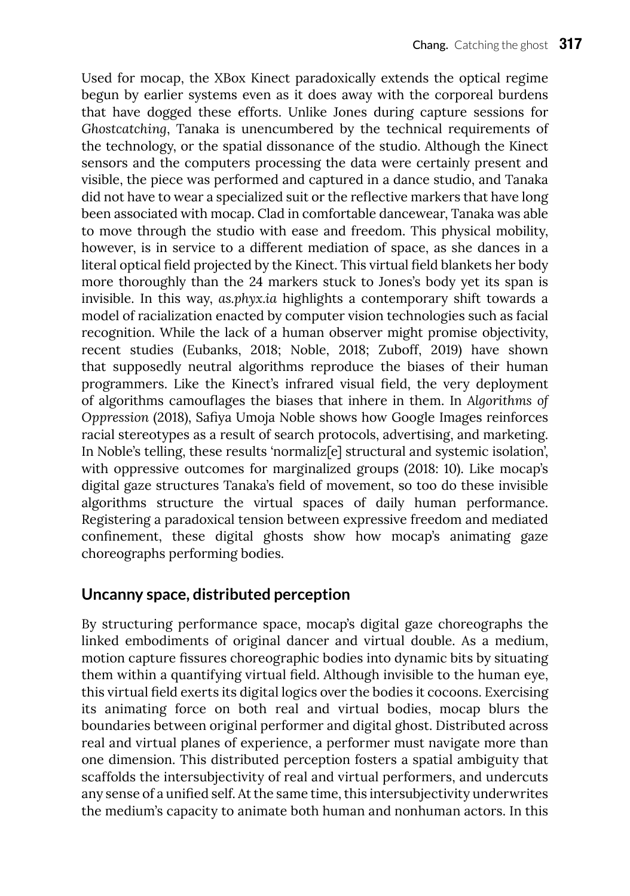Used for mocap, the XBox Kinect paradoxically extends the optical regime begun by earlier systems even as it does away with the corporeal burdens that have dogged these efforts. Unlike Jones during capture sessions for *Ghostcatching*, Tanaka is unencumbered by the technical requirements of the technology, or the spatial dissonance of the studio. Although the Kinect sensors and the computers processing the data were certainly present and visible, the piece was performed and captured in a dance studio, and Tanaka did not have to wear a specialized suit or the reflective markers that have long been associated with mocap. Clad in comfortable dancewear, Tanaka was able to move through the studio with ease and freedom. This physical mobility, however, is in service to a different mediation of space, as she dances in a literal optical field projected by the Kinect. This virtual field blankets her body more thoroughly than the 24 markers stuck to Jones's body yet its span is invisible. In this way, *as.phyx.ia* highlights a contemporary shift towards a model of racialization enacted by computer vision technologies such as facial recognition. While the lack of a human observer might promise objectivity, recent studies (Eubanks, 2018; Noble, 2018; Zuboff, 2019) have shown that supposedly neutral algorithms reproduce the biases of their human programmers. Like the Kinect's infrared visual field, the very deployment of algorithms camouflages the biases that inhere in them. In *Algorithms of Oppression* (2018), Safiya Umoja Noble shows how Google Images reinforces racial stereotypes as a result of search protocols, advertising, and marketing. In Noble's telling, these results 'normaliz<sup>[e]</sup> structural and systemic isolation', with oppressive outcomes for marginalized groups (2018: 10). Like mocap's digital gaze structures Tanaka's field of movement, so too do these invisible algorithms structure the virtual spaces of daily human performance. Registering a paradoxical tension between expressive freedom and mediated confinement, these digital ghosts show how mocap's animating gaze choreographs performing bodies.

### **Uncanny space, distributed perception**

By structuring performance space, mocap's digital gaze choreographs the linked embodiments of original dancer and virtual double. As a medium, motion capture fissures choreographic bodies into dynamic bits by situating them within a quantifying virtual field. Although invisible to the human eye, this virtual field exerts its digital logics over the bodies it cocoons. Exercising its animating force on both real and virtual bodies, mocap blurs the boundaries between original performer and digital ghost. Distributed across real and virtual planes of experience, a performer must navigate more than one dimension. This distributed perception fosters a spatial ambiguity that scaffolds the intersubjectivity of real and virtual performers, and undercuts any sense of a unified self. At the same time, this intersubjectivity underwrites the medium's capacity to animate both human and nonhuman actors. In this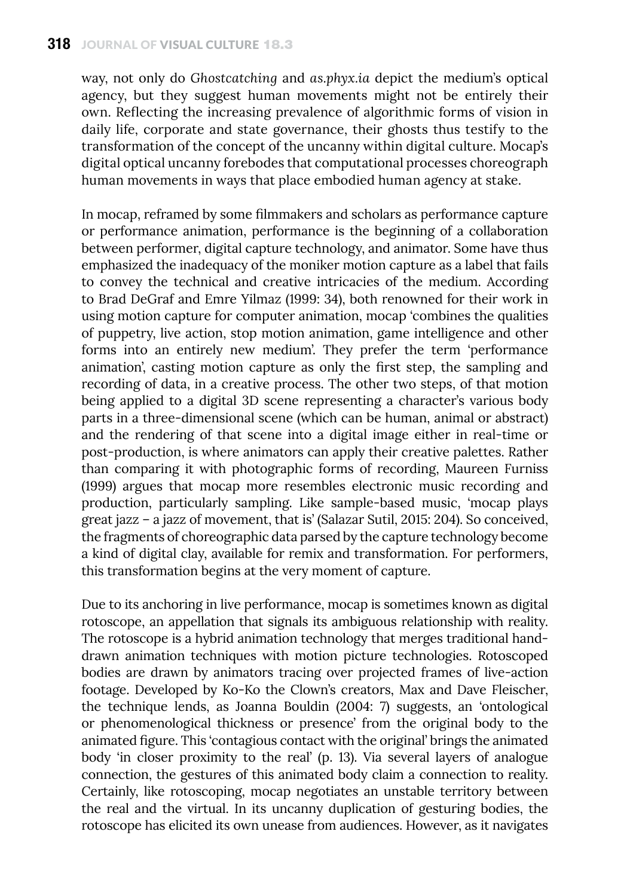way, not only do *Ghostcatching* and *as.phyx.ia* depict the medium's optical agency, but they suggest human movements might not be entirely their own. Reflecting the increasing prevalence of algorithmic forms of vision in daily life, corporate and state governance, their ghosts thus testify to the transformation of the concept of the uncanny within digital culture. Mocap's digital optical uncanny forebodes that computational processes choreograph human movements in ways that place embodied human agency at stake.

In mocap, reframed by some filmmakers and scholars as performance capture or performance animation, performance is the beginning of a collaboration between performer, digital capture technology, and animator. Some have thus emphasized the inadequacy of the moniker motion capture as a label that fails to convey the technical and creative intricacies of the medium. According to Brad DeGraf and Emre Yilmaz (1999: 34), both renowned for their work in using motion capture for computer animation, mocap 'combines the qualities of puppetry, live action, stop motion animation, game intelligence and other forms into an entirely new medium'. They prefer the term 'performance animation', casting motion capture as only the first step, the sampling and recording of data, in a creative process. The other two steps, of that motion being applied to a digital 3D scene representing a character's various body parts in a three-dimensional scene (which can be human, animal or abstract) and the rendering of that scene into a digital image either in real-time or post-production, is where animators can apply their creative palettes. Rather than comparing it with photographic forms of recording, Maureen Furniss (1999) argues that mocap more resembles electronic music recording and production, particularly sampling. Like sample-based music, 'mocap plays great jazz – a jazz of movement, that is' (Salazar Sutil, 2015: 204). So conceived, the fragments of choreographic data parsed by the capture technology become a kind of digital clay, available for remix and transformation. For performers, this transformation begins at the very moment of capture.

Due to its anchoring in live performance, mocap is sometimes known as digital rotoscope, an appellation that signals its ambiguous relationship with reality. The rotoscope is a hybrid animation technology that merges traditional handdrawn animation techniques with motion picture technologies. Rotoscoped bodies are drawn by animators tracing over projected frames of live-action footage. Developed by Ko-Ko the Clown's creators, Max and Dave Fleischer, the technique lends, as Joanna Bouldin (2004: 7) suggests, an 'ontological or phenomenological thickness or presence' from the original body to the animated figure. This 'contagious contact with the original' brings the animated body 'in closer proximity to the real' (p. 13). Via several layers of analogue connection, the gestures of this animated body claim a connection to reality. Certainly, like rotoscoping, mocap negotiates an unstable territory between the real and the virtual. In its uncanny duplication of gesturing bodies, the rotoscope has elicited its own unease from audiences. However, as it navigates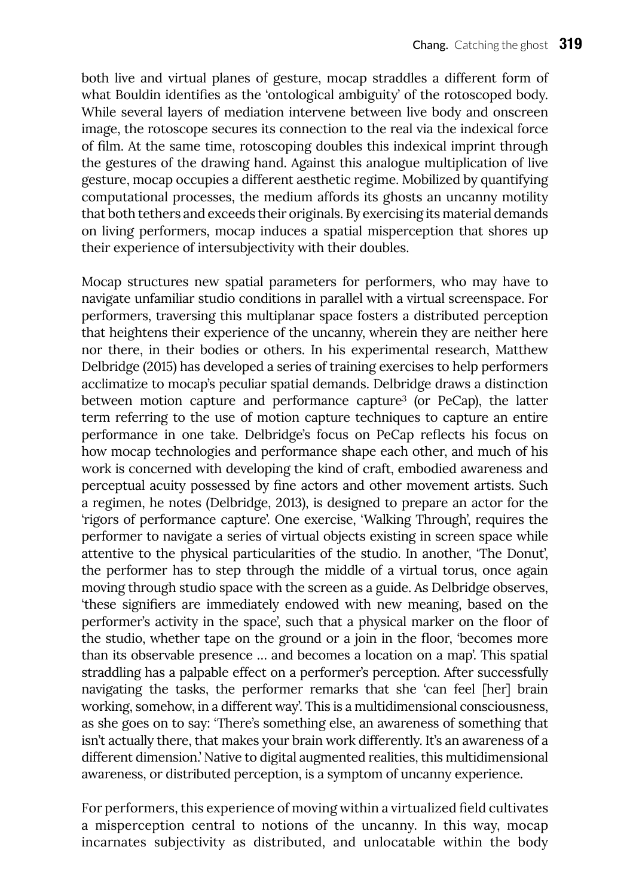both live and virtual planes of gesture, mocap straddles a different form of what Bouldin identifies as the 'ontological ambiguity' of the rotoscoped body. While several layers of mediation intervene between live body and onscreen image, the rotoscope secures its connection to the real via the indexical force of film. At the same time, rotoscoping doubles this indexical imprint through the gestures of the drawing hand. Against this analogue multiplication of live gesture, mocap occupies a different aesthetic regime. Mobilized by quantifying computational processes, the medium affords its ghosts an uncanny motility that both tethers and exceeds their originals. By exercising its material demands on living performers, mocap induces a spatial misperception that shores up their experience of intersubjectivity with their doubles.

Mocap structures new spatial parameters for performers, who may have to navigate unfamiliar studio conditions in parallel with a virtual screenspace. For performers, traversing this multiplanar space fosters a distributed perception that heightens their experience of the uncanny, wherein they are neither here nor there, in their bodies or others. In his experimental research, Matthew Delbridge (2015) has developed a series of training exercises to help performers acclimatize to mocap's peculiar spatial demands. Delbridge draws a distinction between motion capture and performance capture<sup>3</sup> (or PeCap), the latter term referring to the use of motion capture techniques to capture an entire performance in one take. Delbridge's focus on PeCap reflects his focus on how mocap technologies and performance shape each other, and much of his work is concerned with developing the kind of craft, embodied awareness and perceptual acuity possessed by fine actors and other movement artists. Such a regimen, he notes (Delbridge, 2013), is designed to prepare an actor for the 'rigors of performance capture'. One exercise, 'Walking Through', requires the performer to navigate a series of virtual objects existing in screen space while attentive to the physical particularities of the studio. In another, 'The Donut', the performer has to step through the middle of a virtual torus, once again moving through studio space with the screen as a guide. As Delbridge observes, 'these signifiers are immediately endowed with new meaning, based on the performer's activity in the space', such that a physical marker on the floor of the studio, whether tape on the ground or a join in the floor, 'becomes more than its observable presence … and becomes a location on a map'. This spatial straddling has a palpable effect on a performer's perception. After successfully navigating the tasks, the performer remarks that she 'can feel [her] brain working, somehow, in a different way'. This is a multidimensional consciousness, as she goes on to say: 'There's something else, an awareness of something that isn't actually there, that makes your brain work differently. It's an awareness of a different dimension.' Native to digital augmented realities, this multidimensional awareness, or distributed perception, is a symptom of uncanny experience.

For performers, this experience of moving within a virtualized field cultivates a misperception central to notions of the uncanny. In this way, mocap incarnates subjectivity as distributed, and unlocatable within the body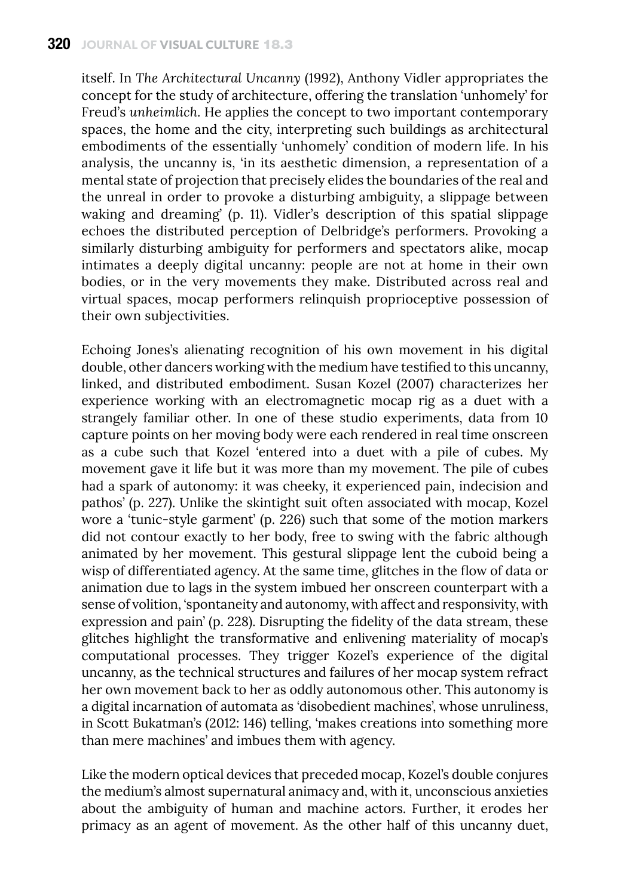itself. In *The Architectural Uncanny* (1992), Anthony Vidler appropriates the concept for the study of architecture, offering the translation 'unhomely' for Freud's *unheimlich*. He applies the concept to two important contemporary spaces, the home and the city, interpreting such buildings as architectural embodiments of the essentially 'unhomely' condition of modern life. In his analysis, the uncanny is, 'in its aesthetic dimension, a representation of a mental state of projection that precisely elides the boundaries of the real and the unreal in order to provoke a disturbing ambiguity, a slippage between waking and dreaming' (p. 11). Vidler's description of this spatial slippage echoes the distributed perception of Delbridge's performers. Provoking a similarly disturbing ambiguity for performers and spectators alike, mocap intimates a deeply digital uncanny: people are not at home in their own bodies, or in the very movements they make. Distributed across real and virtual spaces, mocap performers relinquish proprioceptive possession of their own subjectivities.

Echoing Jones's alienating recognition of his own movement in his digital double, other dancers working with the medium have testified to this uncanny, linked, and distributed embodiment. Susan Kozel (2007) characterizes her experience working with an electromagnetic mocap rig as a duet with a strangely familiar other. In one of these studio experiments, data from 10 capture points on her moving body were each rendered in real time onscreen as a cube such that Kozel 'entered into a duet with a pile of cubes. My movement gave it life but it was more than my movement. The pile of cubes had a spark of autonomy: it was cheeky, it experienced pain, indecision and pathos' (p. 227). Unlike the skintight suit often associated with mocap, Kozel wore a 'tunic-style garment' (p. 226) such that some of the motion markers did not contour exactly to her body, free to swing with the fabric although animated by her movement. This gestural slippage lent the cuboid being a wisp of differentiated agency. At the same time, glitches in the flow of data or animation due to lags in the system imbued her onscreen counterpart with a sense of volition, 'spontaneity and autonomy, with affect and responsivity, with expression and pain' (p. 228). Disrupting the fidelity of the data stream, these glitches highlight the transformative and enlivening materiality of mocap's computational processes. They trigger Kozel's experience of the digital uncanny, as the technical structures and failures of her mocap system refract her own movement back to her as oddly autonomous other. This autonomy is a digital incarnation of automata as 'disobedient machines', whose unruliness, in Scott Bukatman's (2012: 146) telling, 'makes creations into something more than mere machines' and imbues them with agency.

Like the modern optical devices that preceded mocap, Kozel's double conjures the medium's almost supernatural animacy and, with it, unconscious anxieties about the ambiguity of human and machine actors. Further, it erodes her primacy as an agent of movement. As the other half of this uncanny duet,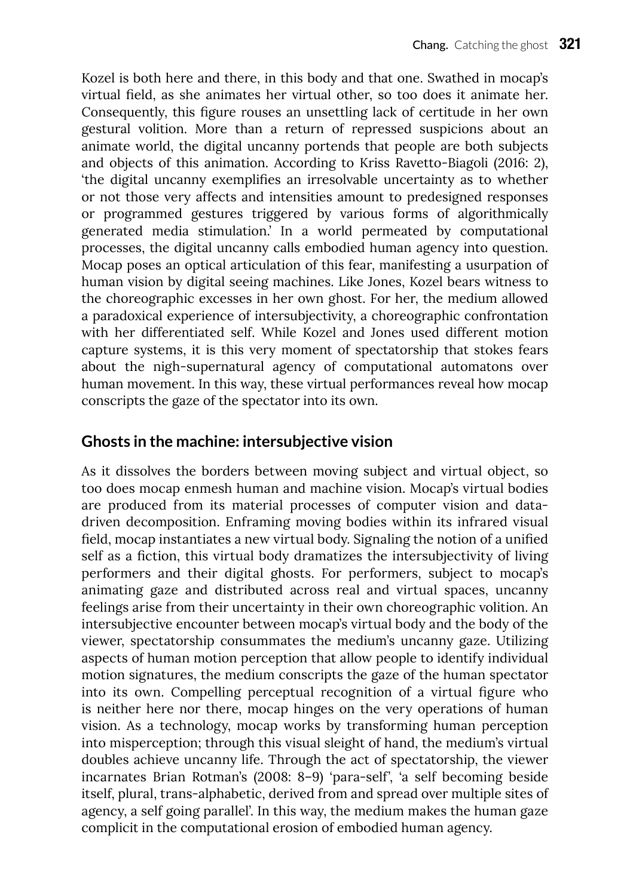Kozel is both here and there, in this body and that one. Swathed in mocap's virtual field, as she animates her virtual other, so too does it animate her. Consequently, this figure rouses an unsettling lack of certitude in her own gestural volition. More than a return of repressed suspicions about an animate world, the digital uncanny portends that people are both subjects and objects of this animation. According to Kriss Ravetto-Biagoli (2016: 2), 'the digital uncanny exemplifies an irresolvable uncertainty as to whether or not those very affects and intensities amount to predesigned responses or programmed gestures triggered by various forms of algorithmically generated media stimulation.' In a world permeated by computational processes, the digital uncanny calls embodied human agency into question. Mocap poses an optical articulation of this fear, manifesting a usurpation of human vision by digital seeing machines. Like Jones, Kozel bears witness to the choreographic excesses in her own ghost. For her, the medium allowed a paradoxical experience of intersubjectivity, a choreographic confrontation with her differentiated self. While Kozel and Jones used different motion capture systems, it is this very moment of spectatorship that stokes fears about the nigh-supernatural agency of computational automatons over human movement. In this way, these virtual performances reveal how mocap conscripts the gaze of the spectator into its own.

#### **Ghosts in the machine: intersubjective vision**

As it dissolves the borders between moving subject and virtual object, so too does mocap enmesh human and machine vision. Mocap's virtual bodies are produced from its material processes of computer vision and datadriven decomposition. Enframing moving bodies within its infrared visual field, mocap instantiates a new virtual body. Signaling the notion of a unified self as a fiction, this virtual body dramatizes the intersubjectivity of living performers and their digital ghosts. For performers, subject to mocap's animating gaze and distributed across real and virtual spaces, uncanny feelings arise from their uncertainty in their own choreographic volition. An intersubjective encounter between mocap's virtual body and the body of the viewer, spectatorship consummates the medium's uncanny gaze. Utilizing aspects of human motion perception that allow people to identify individual motion signatures, the medium conscripts the gaze of the human spectator into its own. Compelling perceptual recognition of a virtual figure who is neither here nor there, mocap hinges on the very operations of human vision. As a technology, mocap works by transforming human perception into misperception; through this visual sleight of hand, the medium's virtual doubles achieve uncanny life. Through the act of spectatorship, the viewer incarnates Brian Rotman's (2008: 8–9) 'para-self', 'a self becoming beside itself, plural, trans-alphabetic, derived from and spread over multiple sites of agency, a self going parallel'. In this way, the medium makes the human gaze complicit in the computational erosion of embodied human agency.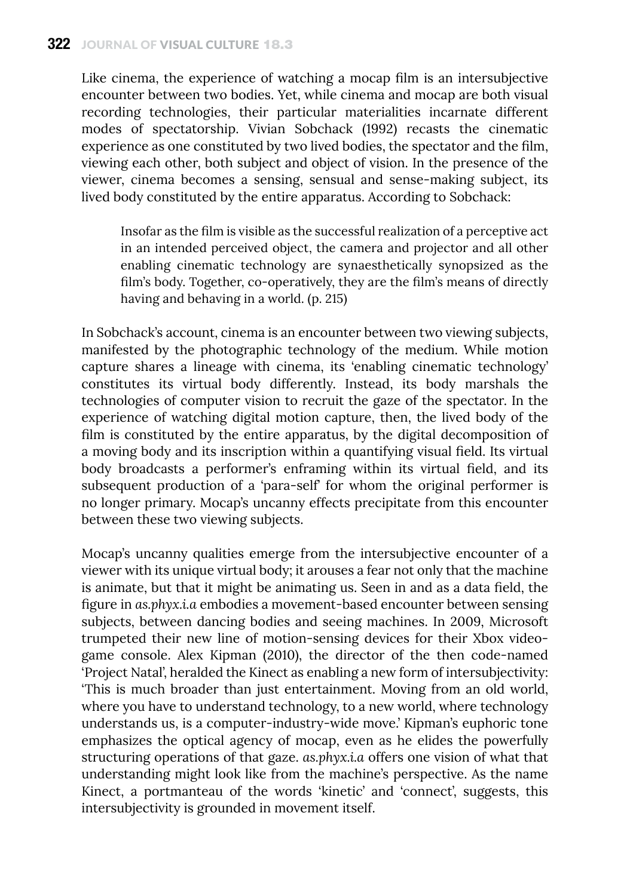Like cinema, the experience of watching a mocap film is an intersubjective encounter between two bodies. Yet, while cinema and mocap are both visual recording technologies, their particular materialities incarnate different modes of spectatorship. Vivian Sobchack (1992) recasts the cinematic experience as one constituted by two lived bodies, the spectator and the film, viewing each other, both subject and object of vision. In the presence of the viewer, cinema becomes a sensing, sensual and sense-making subject, its lived body constituted by the entire apparatus. According to Sobchack:

Insofar as the film is visible as the successful realization of a perceptive act in an intended perceived object, the camera and projector and all other enabling cinematic technology are synaesthetically synopsized as the film's body. Together, co-operatively, they are the film's means of directly having and behaving in a world. (p. 215)

In Sobchack's account, cinema is an encounter between two viewing subjects, manifested by the photographic technology of the medium. While motion capture shares a lineage with cinema, its 'enabling cinematic technology' constitutes its virtual body differently. Instead, its body marshals the technologies of computer vision to recruit the gaze of the spectator. In the experience of watching digital motion capture, then, the lived body of the film is constituted by the entire apparatus, by the digital decomposition of a moving body and its inscription within a quantifying visual field. Its virtual body broadcasts a performer's enframing within its virtual field, and its subsequent production of a 'para-self' for whom the original performer is no longer primary. Mocap's uncanny effects precipitate from this encounter between these two viewing subjects.

Mocap's uncanny qualities emerge from the intersubjective encounter of a viewer with its unique virtual body; it arouses a fear not only that the machine is animate, but that it might be animating us. Seen in and as a data field, the figure in *as.phyx.i.a* embodies a movement-based encounter between sensing subjects, between dancing bodies and seeing machines. In 2009, Microsoft trumpeted their new line of motion-sensing devices for their Xbox videogame console. Alex Kipman (2010), the director of the then code-named 'Project Natal', heralded the Kinect as enabling a new form of intersubjectivity: 'This is much broader than just entertainment. Moving from an old world, where you have to understand technology, to a new world, where technology understands us, is a computer-industry-wide move.' Kipman's euphoric tone emphasizes the optical agency of mocap, even as he elides the powerfully structuring operations of that gaze. *as.phyx.i.a* offers one vision of what that understanding might look like from the machine's perspective. As the name Kinect, a portmanteau of the words 'kinetic' and 'connect', suggests, this intersubjectivity is grounded in movement itself.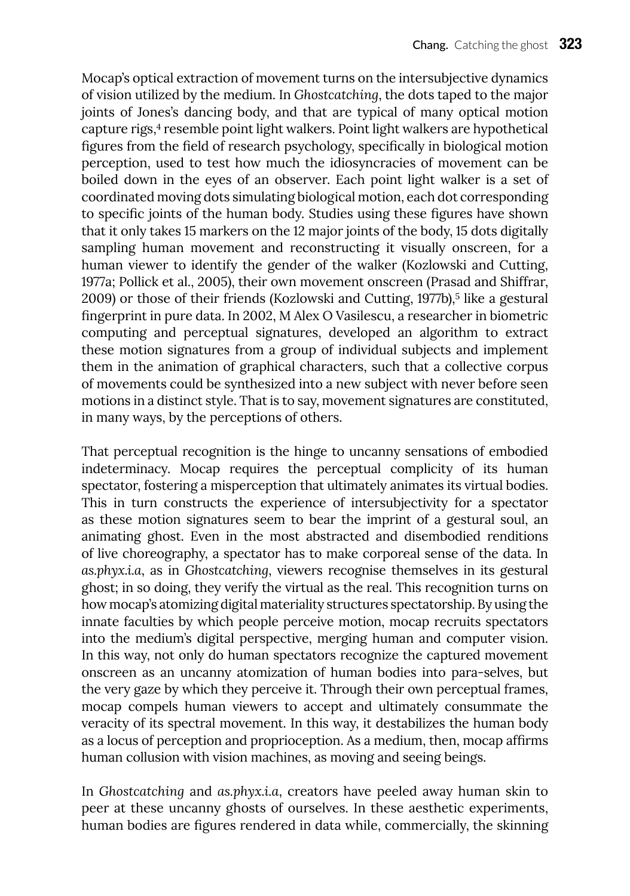Mocap's optical extraction of movement turns on the intersubjective dynamics of vision utilized by the medium. In *Ghostcatching*, the dots taped to the major joints of Jones's dancing body, and that are typical of many optical motion capture rigs,<sup>4</sup> resemble point light walkers. Point light walkers are hypothetical figures from the field of research psychology, specifically in biological motion perception, used to test how much the idiosyncracies of movement can be boiled down in the eyes of an observer. Each point light walker is a set of coordinated moving dots simulating biological motion, each dot corresponding to specific joints of the human body. Studies using these figures have shown that it only takes 15 markers on the 12 major joints of the body, 15 dots digitally sampling human movement and reconstructing it visually onscreen, for a human viewer to identify the gender of the walker (Kozlowski and Cutting, 1977a; Pollick et al., 2005), their own movement onscreen (Prasad and Shiffrar, 2009) or those of their friends (Kozlowski and Cutting, 1977b),<sup>5</sup> like a gestural fingerprint in pure data. In 2002, M Alex O Vasilescu, a researcher in biometric computing and perceptual signatures, developed an algorithm to extract these motion signatures from a group of individual subjects and implement them in the animation of graphical characters, such that a collective corpus of movements could be synthesized into a new subject with never before seen motions in a distinct style. That is to say, movement signatures are constituted, in many ways, by the perceptions of others.

That perceptual recognition is the hinge to uncanny sensations of embodied indeterminacy. Mocap requires the perceptual complicity of its human spectator, fostering a misperception that ultimately animates its virtual bodies. This in turn constructs the experience of intersubjectivity for a spectator as these motion signatures seem to bear the imprint of a gestural soul, an animating ghost. Even in the most abstracted and disembodied renditions of live choreography, a spectator has to make corporeal sense of the data. In *as.phyx.i.a*, as in *Ghostcatching*, viewers recognise themselves in its gestural ghost; in so doing, they verify the virtual as the real. This recognition turns on how mocap's atomizing digital materiality structures spectatorship. By using the innate faculties by which people perceive motion, mocap recruits spectators into the medium's digital perspective, merging human and computer vision. In this way, not only do human spectators recognize the captured movement onscreen as an uncanny atomization of human bodies into para-selves, but the very gaze by which they perceive it. Through their own perceptual frames, mocap compels human viewers to accept and ultimately consummate the veracity of its spectral movement. In this way, it destabilizes the human body as a locus of perception and proprioception. As a medium, then, mocap affirms human collusion with vision machines, as moving and seeing beings.

In *Ghostcatching* and *as.phyx.i.a*, creators have peeled away human skin to peer at these uncanny ghosts of ourselves. In these aesthetic experiments, human bodies are figures rendered in data while, commercially, the skinning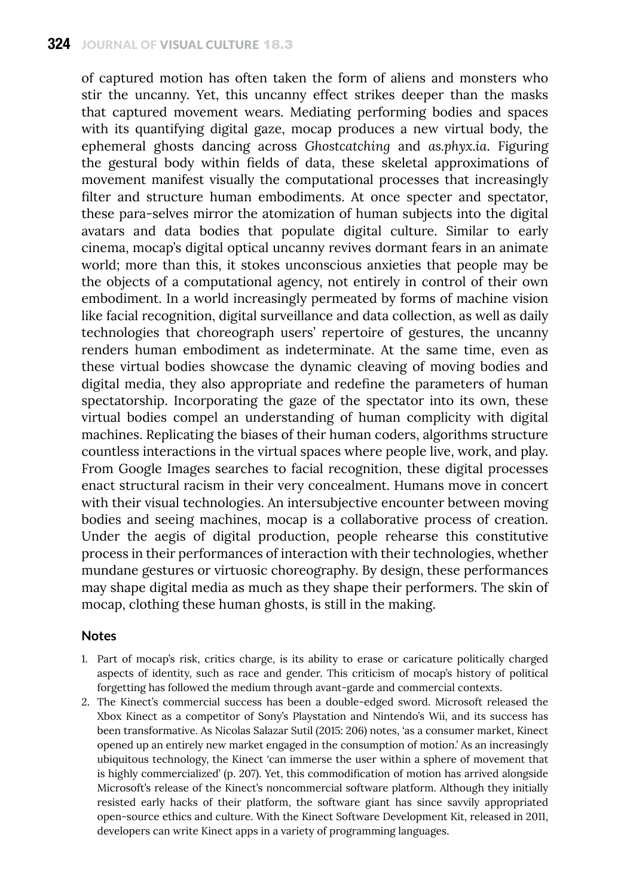of captured motion has often taken the form of aliens and monsters who stir the uncanny. Yet, this uncanny effect strikes deeper than the masks that captured movement wears. Mediating performing bodies and spaces with its quantifying digital gaze, mocap produces a new virtual body, the ephemeral ghosts dancing across *Ghostcatching* and *as.phyx.ia*. Figuring the gestural body within fields of data, these skeletal approximations of movement manifest visually the computational processes that increasingly filter and structure human embodiments. At once specter and spectator, these para-selves mirror the atomization of human subjects into the digital avatars and data bodies that populate digital culture. Similar to early cinema, mocap's digital optical uncanny revives dormant fears in an animate world; more than this, it stokes unconscious anxieties that people may be the objects of a computational agency, not entirely in control of their own embodiment. In a world increasingly permeated by forms of machine vision like facial recognition, digital surveillance and data collection, as well as daily technologies that choreograph users' repertoire of gestures, the uncanny renders human embodiment as indeterminate. At the same time, even as these virtual bodies showcase the dynamic cleaving of moving bodies and digital media, they also appropriate and redefine the parameters of human spectatorship. Incorporating the gaze of the spectator into its own, these virtual bodies compel an understanding of human complicity with digital machines. Replicating the biases of their human coders, algorithms structure countless interactions in the virtual spaces where people live, work, and play. From Google Images searches to facial recognition, these digital processes enact structural racism in their very concealment. Humans move in concert with their visual technologies. An intersubjective encounter between moving bodies and seeing machines, mocap is a collaborative process of creation. Under the aegis of digital production, people rehearse this constitutive process in their performances of interaction with their technologies, whether mundane gestures or virtuosic choreography. By design, these performances may shape digital media as much as they shape their performers. The skin of mocap, clothing these human ghosts, is still in the making.

#### **Notes**

- 1. Part of mocap's risk, critics charge, is its ability to erase or caricature politically charged aspects of identity, such as race and gender. This criticism of mocap's history of political forgetting has followed the medium through avant-garde and commercial contexts.
- 2. The Kinect's commercial success has been a double-edged sword. Microsoft released the Xbox Kinect as a competitor of Sony's Playstation and Nintendo's Wii, and its success has been transformative. As Nicolas Salazar Sutil (2015: 206) notes, 'as a consumer market, Kinect opened up an entirely new market engaged in the consumption of motion.' As an increasingly ubiquitous technology, the Kinect 'can immerse the user within a sphere of movement that is highly commercialized' (p. 207). Yet, this commodification of motion has arrived alongside Microsoft's release of the Kinect's noncommercial software platform. Although they initially resisted early hacks of their platform, the software giant has since savvily appropriated open-source ethics and culture. With the Kinect Software Development Kit, released in 2011, developers can write Kinect apps in a variety of programming languages.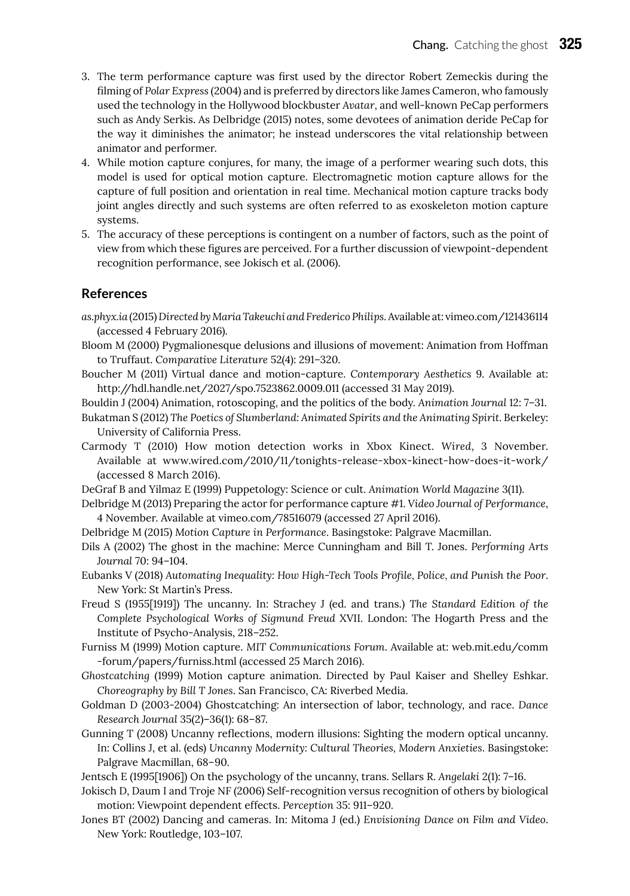- 3. The term performance capture was first used by the director Robert Zemeckis during the filming of *Polar Express* (2004) and is preferred by directors like James Cameron, who famously used the technology in the Hollywood blockbuster *Avatar*, and well-known PeCap performers such as Andy Serkis. As Delbridge (2015) notes, some devotees of animation deride PeCap for the way it diminishes the animator; he instead underscores the vital relationship between animator and performer.
- 4. While motion capture conjures, for many, the image of a performer wearing such dots, this model is used for optical motion capture. Electromagnetic motion capture allows for the capture of full position and orientation in real time. Mechanical motion capture tracks body joint angles directly and such systems are often referred to as exoskeleton motion capture systems.
- 5. The accuracy of these perceptions is contingent on a number of factors, such as the point of view from which these figures are perceived. For a further discussion of viewpoint-dependent recognition performance, see Jokisch et al. (2006).

#### **References**

- *as.phyx.ia* (2015) *Directed by Maria Takeuchi and Frederico Philips*. Available at: vimeo.com/121436114 (accessed 4 February 2016).
- Bloom M (2000) Pygmalionesque delusions and illusions of movement: Animation from Hoffman to Truffaut. *Comparative Literature* 52(4): 291–320.
- Boucher M (2011) Virtual dance and motion-capture. *Contemporary Aesthetics* 9. Available at: http://hdl.handle.net/2027/spo.7523862.0009.011 (accessed 31 May 2019).

Bouldin J (2004) Animation, rotoscoping, and the politics of the body. *Animation Journal* 12: 7–31.

- Bukatman S (2012) *The Poetics of Slumberland: Animated Spirits and the Animating Spirit*. Berkeley: University of California Press.
- Carmody T (2010) How motion detection works in Xbox Kinect. *Wired*, 3 November. Available at <www.wired.com/2010/11/tonights-release-xbox-kinect-how-does-it-work/> (accessed 8 March 2016).
- DeGraf B and Yilmaz E (1999) Puppetology: Science or cult. *Animation World Magazine* 3(11).
- Delbridge M (2013) Preparing the actor for performance capture #1. *Video Journal of Performance*, 4 November. Available at vimeo.com/78516079 (accessed 27 April 2016).
- Delbridge M (2015) *Motion Capture in Performance*. Basingstoke: Palgrave Macmillan.
- Dils A (2002) The ghost in the machine: Merce Cunningham and Bill T. Jones. *Performing Arts Journal* 70: 94–104.
- Eubanks V (2018) *Automating Inequality: How High-Tech Tools Profile, Police, and Punish the Poor*. New York: St Martin's Press.
- Freud S (1955[1919]) The uncanny. In: Strachey J (ed. and trans.) *The Standard Edition of the Complete Psychological Works of Sigmund Freud* XVII. London: The Hogarth Press and the Institute of Psycho-Analysis, 218–252.
- Furniss M (1999) Motion capture. *MIT Communications Forum*. Available at: web.mit.edu/comm -forum/papers/furniss.html (accessed 25 March 2016).
- *Ghostcatching* (1999) Motion capture animation. Directed by Paul Kaiser and Shelley Eshkar. *Choreography by Bill T Jones*. San Francisco, CA: Riverbed Media.
- Goldman D (2003-2004) Ghostcatching: An intersection of labor, technology, and race. *Dance Research Journal* 35(2)–36(1): 68–87.
- Gunning T (2008) Uncanny reflections, modern illusions: Sighting the modern optical uncanny. In: Collins J, et al. (eds) *Uncanny Modernity: Cultural Theories, Modern Anxieties*. Basingstoke: Palgrave Macmillan, 68–90.
- Jentsch E (1995[1906]) On the psychology of the uncanny, trans. Sellars R. *Angelaki* 2(1): 7–16.
- Jokisch D, Daum I and Troje NF (2006) Self-recognition versus recognition of others by biological motion: Viewpoint dependent effects. *Perception* 35: 911–920.
- Jones BT (2002) Dancing and cameras. In: Mitoma J (ed.) *Envisioning Dance on Film and Video*. New York: Routledge, 103–107.